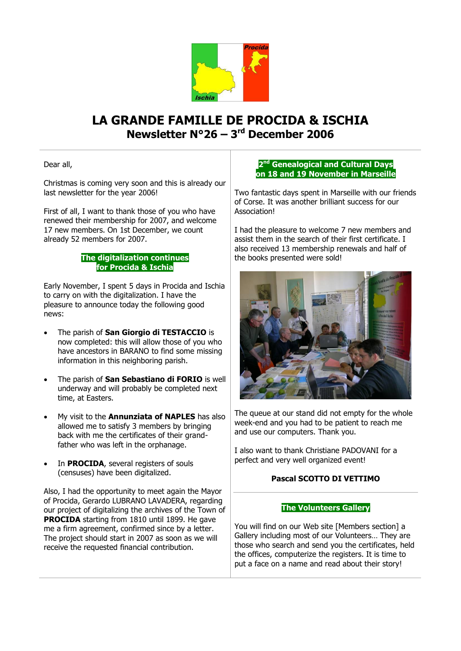

# **LA GRANDE FAMILLE DE PROCIDA & ISCHIA Newsletter N°26 – 3 rd December 2006**

Dear all,

Christmas is coming very soon and this is already our last newsletter for the year 2006!

First of all, I want to thank those of you who have renewed their membership for 2007, and welcome 17 new members. On 1st December, we count already 52 members for 2007.

### **The digitalization continues for Procida & Ischia**

Early November, I spent 5 days in Procida and Ischia to carry on with the digitalization. I have the pleasure to announce today the following good news:

- The parish of **San Giorgio di TESTACCIO** is now completed: this will allow those of you who have ancestors in BARANO to find some missing information in this neighboring parish.
- The parish of **San Sebastiano di FORIO** is well underway and will probably be completed next time, at Easters.
- My visit to the **Annunziata of NAPLES** has also allowed me to satisfy 3 members by bringing back with me the certificates of their grandfather who was left in the orphanage.
- In **PROCIDA**, several registers of souls (censuses) have been digitalized.

Also, I had the opportunity to meet again the Mayor of Procida, Gerardo LUBRANO LAVADERA, regarding our project of digitalizing the archives of the Town of **PROCIDA** starting from 1810 until 1899. He gave me a firm agreement, confirmed since by a letter. The project should start in 2007 as soon as we will receive the requested financial contribution.

### **2 nd Genealogical and Cultural Days on 18 and 19 November in Marseille**

Two fantastic days spent in Marseille with our friends of Corse. It was another brilliant success for our **Association!** 

I had the pleasure to welcome 7 new members and assist them in the search of their first certificate. I also received 13 membership renewals and half of the books presented were sold!



The queue at our stand did not empty for the whole week-end and you had to be patient to reach me and use our computers. Thank you.

I also want to thank Christiane PADOVANI for a perfect and very well organized event!

## **Pascal SCOTTO DI VETTIMO**

#### **The Volunteers Gallery**

You will find on our Web site [Members section] a Gallery including most of our Volunteers… They are those who search and send you the certificates, held the offices, computerize the registers. It is time to put a face on a name and read about their story!